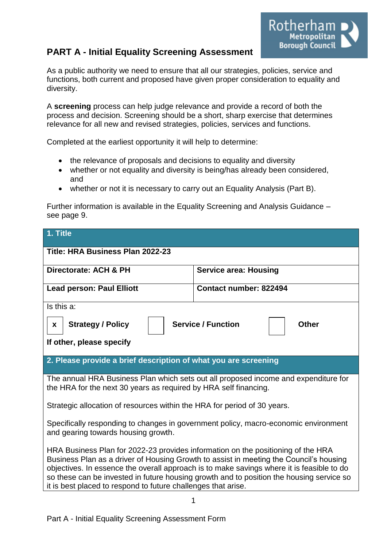# **PART A - Initial Equality Screening Assessment**



As a public authority we need to ensure that all our strategies, policies, service and functions, both current and proposed have given proper consideration to equality and diversity.

A **screening** process can help judge relevance and provide a record of both the process and decision. Screening should be a short, sharp exercise that determines relevance for all new and revised strategies, policies, services and functions.

Completed at the earliest opportunity it will help to determine:

- the relevance of proposals and decisions to equality and diversity
- whether or not equality and diversity is being/has already been considered, and
- whether or not it is necessary to carry out an Equality Analysis (Part B).

Further information is available in the Equality Screening and Analysis Guidance – see page 9.

| 1. Title                                                                                                                                                                                                                                                                                                                                                                                                                             |                              |  |  |  |
|--------------------------------------------------------------------------------------------------------------------------------------------------------------------------------------------------------------------------------------------------------------------------------------------------------------------------------------------------------------------------------------------------------------------------------------|------------------------------|--|--|--|
| Title: HRA Business Plan 2022-23                                                                                                                                                                                                                                                                                                                                                                                                     |                              |  |  |  |
| Directorate: ACH & PH                                                                                                                                                                                                                                                                                                                                                                                                                | <b>Service area: Housing</b> |  |  |  |
| <b>Lead person: Paul Elliott</b>                                                                                                                                                                                                                                                                                                                                                                                                     | Contact number: 822494       |  |  |  |
| Is this a:                                                                                                                                                                                                                                                                                                                                                                                                                           |                              |  |  |  |
| <b>Service / Function</b><br><b>Strategy / Policy</b><br><b>Other</b><br>$\mathbf{x}$                                                                                                                                                                                                                                                                                                                                                |                              |  |  |  |
| If other, please specify                                                                                                                                                                                                                                                                                                                                                                                                             |                              |  |  |  |
| 2. Please provide a brief description of what you are screening                                                                                                                                                                                                                                                                                                                                                                      |                              |  |  |  |
| The annual HRA Business Plan which sets out all proposed income and expenditure for<br>the HRA for the next 30 years as required by HRA self financing.                                                                                                                                                                                                                                                                              |                              |  |  |  |
| Strategic allocation of resources within the HRA for period of 30 years.                                                                                                                                                                                                                                                                                                                                                             |                              |  |  |  |
| Specifically responding to changes in government policy, macro-economic environment<br>and gearing towards housing growth.                                                                                                                                                                                                                                                                                                           |                              |  |  |  |
| HRA Business Plan for 2022-23 provides information on the positioning of the HRA<br>Business Plan as a driver of Housing Growth to assist in meeting the Council's housing<br>objectives. In essence the overall approach is to make savings where it is feasible to do<br>so these can be invested in future housing growth and to position the housing service so<br>it is best placed to respond to future challenges that arise. |                              |  |  |  |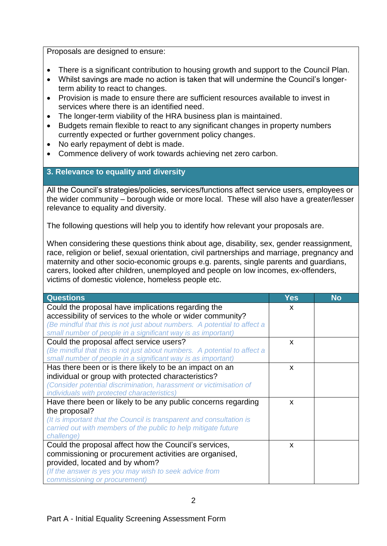Proposals are designed to ensure:

- There is a significant contribution to housing growth and support to the Council Plan.
- Whilst savings are made no action is taken that will undermine the Council's longerterm ability to react to changes.
- Provision is made to ensure there are sufficient resources available to invest in services where there is an identified need.
- The longer-term viability of the HRA business plan is maintained.
- Budgets remain flexible to react to any significant changes in property numbers currently expected or further government policy changes.
- No early repayment of debt is made.
- Commence delivery of work towards achieving net zero carbon.

#### **3. Relevance to equality and diversity**

All the Council's strategies/policies, services/functions affect service users, employees or the wider community – borough wide or more local. These will also have a greater/lesser relevance to equality and diversity.

The following questions will help you to identify how relevant your proposals are.

When considering these questions think about age, disability, sex, gender reassignment, race, religion or belief, sexual orientation, civil partnerships and marriage, pregnancy and maternity and other socio-economic groups e.g. parents, single parents and guardians, carers, looked after children, unemployed and people on low incomes, ex-offenders, victims of domestic violence, homeless people etc.

| <b>Questions</b>                                                         | <b>Yes</b>                | <b>No</b> |
|--------------------------------------------------------------------------|---------------------------|-----------|
| Could the proposal have implications regarding the                       | X                         |           |
| accessibility of services to the whole or wider community?               |                           |           |
| (Be mindful that this is not just about numbers. A potential to affect a |                           |           |
| small number of people in a significant way is as important)             |                           |           |
| Could the proposal affect service users?                                 | $\boldsymbol{\mathsf{x}}$ |           |
| (Be mindful that this is not just about numbers. A potential to affect a |                           |           |
| small number of people in a significant way is as important)             |                           |           |
| Has there been or is there likely to be an impact on an                  | X                         |           |
| individual or group with protected characteristics?                      |                           |           |
| (Consider potential discrimination, harassment or victimisation of       |                           |           |
| individuals with protected characteristics)                              |                           |           |
| Have there been or likely to be any public concerns regarding            | X                         |           |
| the proposal?                                                            |                           |           |
| (It is important that the Council is transparent and consultation is     |                           |           |
| carried out with members of the public to help mitigate future           |                           |           |
| challenge)                                                               |                           |           |
| Could the proposal affect how the Council's services,                    | $\boldsymbol{\mathsf{x}}$ |           |
| commissioning or procurement activities are organised,                   |                           |           |
| provided, located and by whom?                                           |                           |           |
| (If the answer is yes you may wish to seek advice from                   |                           |           |
| commissioning or procurement)                                            |                           |           |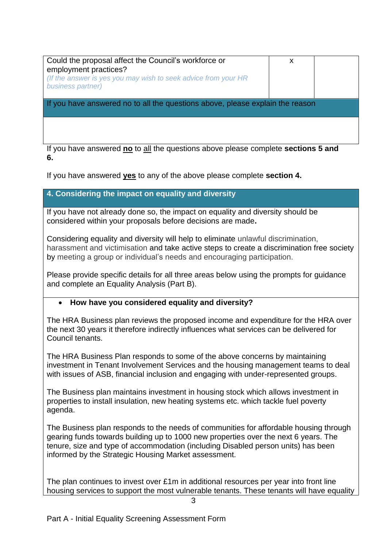| Could the proposal affect the Council's workforce or<br>employment practices?<br>(If the answer is yes you may wish to seek advice from your HR<br>business partner) | X |  |  |
|----------------------------------------------------------------------------------------------------------------------------------------------------------------------|---|--|--|
| If you have answered no to all the questions above, please explain the reason                                                                                        |   |  |  |
|                                                                                                                                                                      |   |  |  |
| If you have answered no to all the questions above please complete sections 5 and                                                                                    |   |  |  |

**6.**

If you have answered **yes** to any of the above please complete **section 4.** 

### **4. Considering the impact on equality and diversity**

If you have not already done so, the impact on equality and diversity should be considered within your proposals before decisions are made**.**

Considering equality and diversity will help to eliminate unlawful discrimination, harassment and victimisation and take active steps to create a discrimination free society by meeting a group or individual's needs and encouraging participation.

Please provide specific details for all three areas below using the prompts for guidance and complete an Equality Analysis (Part B).

### **How have you considered equality and diversity?**

The HRA Business plan reviews the proposed income and expenditure for the HRA over the next 30 years it therefore indirectly influences what services can be delivered for Council tenants.

The HRA Business Plan responds to some of the above concerns by maintaining investment in Tenant Involvement Services and the housing management teams to deal with issues of ASB, financial inclusion and engaging with under-represented groups.

The Business plan maintains investment in housing stock which allows investment in properties to install insulation, new heating systems etc. which tackle fuel poverty agenda.

The Business plan responds to the needs of communities for affordable housing through gearing funds towards building up to 1000 new properties over the next 6 years. The tenure, size and type of accommodation (including Disabled person units) has been informed by the Strategic Housing Market assessment.

The plan continues to invest over £1m in additional resources per year into front line housing services to support the most vulnerable tenants. These tenants will have equality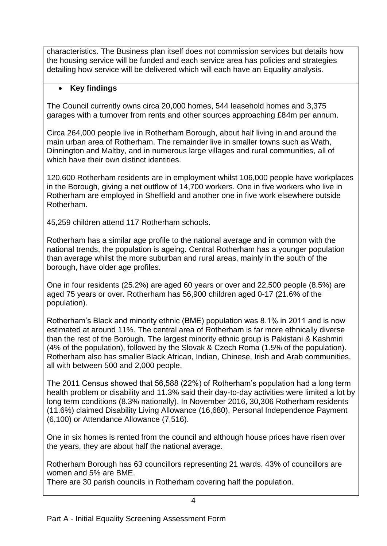characteristics. The Business plan itself does not commission services but details how the housing service will be funded and each service area has policies and strategies detailing how service will be delivered which will each have an Equality analysis.

## **Key findings**

The Council currently owns circa 20,000 homes, 544 leasehold homes and 3,375 garages with a turnover from rents and other sources approaching £84m per annum.

Circa 264,000 people live in Rotherham Borough, about half living in and around the main urban area of Rotherham. The remainder live in smaller towns such as Wath, Dinnington and Maltby, and in numerous large villages and rural communities, all of which have their own distinct identities.

120,600 Rotherham residents are in employment whilst 106,000 people have workplaces in the Borough, giving a net outflow of 14,700 workers. One in five workers who live in Rotherham are employed in Sheffield and another one in five work elsewhere outside Rotherham.

45,259 children attend 117 Rotherham schools.

Rotherham has a similar age profile to the national average and in common with the national trends, the population is ageing. Central Rotherham has a younger population than average whilst the more suburban and rural areas, mainly in the south of the borough, have older age profiles.

One in four residents (25.2%) are aged 60 years or over and 22,500 people (8.5%) are aged 75 years or over. Rotherham has 56,900 children aged 0-17 (21.6% of the population).

Rotherham's Black and minority ethnic (BME) population was 8.1% in 2011 and is now estimated at around 11%. The central area of Rotherham is far more ethnically diverse than the rest of the Borough. The largest minority ethnic group is Pakistani & Kashmiri (4% of the population), followed by the Slovak & Czech Roma (1.5% of the population). Rotherham also has smaller Black African, Indian, Chinese, Irish and Arab communities, all with between 500 and 2,000 people.

The 2011 Census showed that 56,588 (22%) of Rotherham's population had a long term health problem or disability and 11.3% said their day-to-day activities were limited a lot by long term conditions (8.3% nationally). In November 2016, 30,306 Rotherham residents (11.6%) claimed Disability Living Allowance (16,680), Personal Independence Payment (6,100) or Attendance Allowance (7,516).

One in six homes is rented from the council and although house prices have risen over the years, they are about half the national average.

Rotherham Borough has 63 councillors representing 21 wards. 43% of councillors are women and 5% are BME.

There are 30 parish councils in Rotherham covering half the population.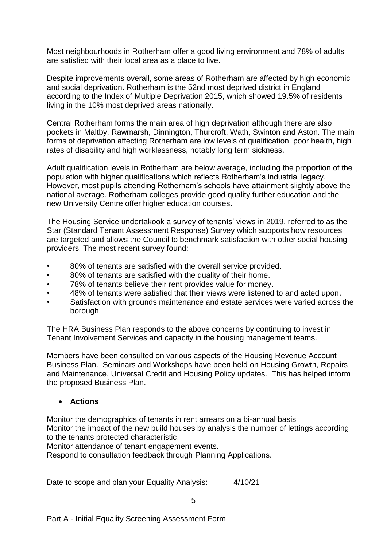Most neighbourhoods in Rotherham offer a good living environment and 78% of adults are satisfied with their local area as a place to live.

Despite improvements overall, some areas of Rotherham are affected by high economic and social deprivation. Rotherham is the 52nd most deprived district in England according to the Index of Multiple Deprivation 2015, which showed 19.5% of residents living in the 10% most deprived areas nationally.

Central Rotherham forms the main area of high deprivation although there are also pockets in Maltby, Rawmarsh, Dinnington, Thurcroft, Wath, Swinton and Aston. The main forms of deprivation affecting Rotherham are low levels of qualification, poor health, high rates of disability and high worklessness, notably long term sickness.

Adult qualification levels in Rotherham are below average, including the proportion of the population with higher qualifications which reflects Rotherham's industrial legacy. However, most pupils attending Rotherham's schools have attainment slightly above the national average. Rotherham colleges provide good quality further education and the new University Centre offer higher education courses.

The Housing Service undertakook a survey of tenants' views in 2019, referred to as the Star (Standard Tenant Assessment Response) Survey which supports how resources are targeted and allows the Council to benchmark satisfaction with other social housing providers. The most recent survey found:

- 80% of tenants are satisfied with the overall service provided.
- 80% of tenants are satisfied with the quality of their home.
- 78% of tenants believe their rent provides value for money.
- 48% of tenants were satisfied that their views were listened to and acted upon.
- Satisfaction with grounds maintenance and estate services were varied across the borough.

The HRA Business Plan responds to the above concerns by continuing to invest in Tenant Involvement Services and capacity in the housing management teams.

Members have been consulted on various aspects of the Housing Revenue Account Business Plan. Seminars and Workshops have been held on Housing Growth, Repairs and Maintenance, Universal Credit and Housing Policy updates. This has helped inform the proposed Business Plan.

### **Actions**

Monitor the demographics of tenants in rent arrears on a bi-annual basis Monitor the impact of the new build houses by analysis the number of lettings according to the tenants protected characteristic.

Monitor attendance of tenant engagement events.

Respond to consultation feedback through Planning Applications.

| Date to scope and plan your Equality Analysis: | 4/10/21 |
|------------------------------------------------|---------|
|------------------------------------------------|---------|